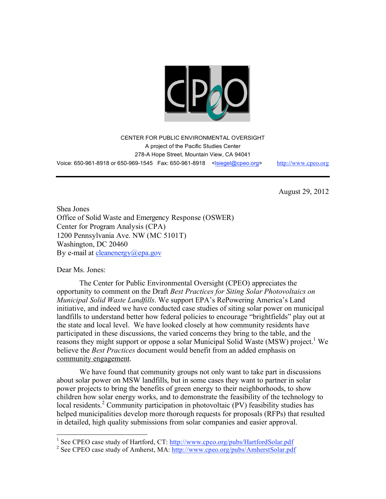

CENTER FOR PUBLIC ENVIRONMENTAL OVERSIGHT A project of the Pacific Studies Center 278-A Hope Street, Mountain View, CA 94041 Voice: 650-961-8918 or 650-969-1545 Fax: 650-961-8918 <lsiegel@cpeo.org> http://www.cpeo.org

August 29, 2012

Shea Jones Office of Solid Waste and Emergency Response (OSWER) Center for Program Analysis (CPA) 1200 Pennsylvania Ave. NW (MC 5101T) Washington, DC 20460 By e-mail at cleanenergy@epa.gov

Dear Ms. Jones:

The Center for Public Environmental Oversight (CPEO) appreciates the opportunity to comment on the Draft *Best Practices for Siting Solar Photovoltaics on Municipal Solid Waste Landfills*. We support EPA's RePowering America's Land initiative, and indeed we have conducted case studies of siting solar power on municipal landfills to understand better how federal policies to encourage "brightfields" play out at the state and local level. We have looked closely at how community residents have participated in these discussions, the varied concerns they bring to the table, and the reasons they might support or oppose a solar Municipal Solid Waste (MSW) project. <sup>1</sup> We believe the *Best Practices* document would benefit from an added emphasis on community engagement.

We have found that community groups not only want to take part in discussions about solar power on MSW landfills, but in some cases they want to partner in solar power projects to bring the benefits of green energy to their neighborhoods, to show children how solar energy works, and to demonstrate the feasibility of the technology to local residents.<sup>2</sup> Community participation in photovoltaic (PV) feasibility studies has helped municipalities develop more thorough requests for proposals (RFPs) that resulted in detailed, high quality submissions from solar companies and easier approval.

<sup>&</sup>lt;sup>1</sup> See CPEO case study of Hartford, CT: http://www.cpeo.org/pubs/HartfordSolar.pdf

<sup>&</sup>lt;sup>2</sup> See CPEO case study of Amherst, MA: http://www.cpeo.org/pubs/AmherstSolar.pdf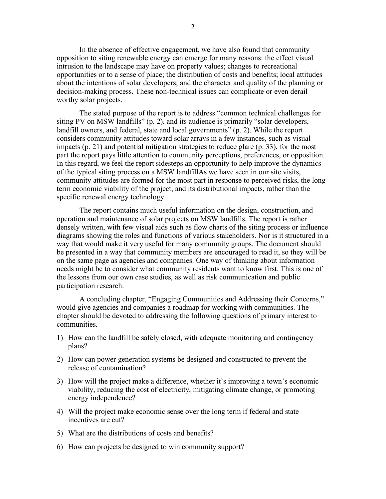In the absence of effective engagement, we have also found that community opposition to siting renewable energy can emerge for many reasons: the effect visual intrusion to the landscape may have on property values; changes to recreational opportunities or to a sense of place; the distribution of costs and benefits; local attitudes about the intentions of solar developers; and the character and quality of the planning or decision-making process. These non-technical issues can complicate or even derail worthy solar projects.

The stated purpose of the report is to address "common technical challenges for siting PV on MSW landfills" (p. 2), and its audience is primarily "solar developers, landfill owners, and federal, state and local governments" (p. 2). While the report considers community attitudes toward solar arrays in a few instances, such as visual impacts (p. 21) and potential mitigation strategies to reduce glare (p. 33), for the most part the report pays little attention to community perceptions, preferences, or opposition. In this regard, we feel the report sidesteps an opportunity to help improve the dynamics of the typical siting process on a MSW landfillAs we have seen in our site visits, community attitudes are formed for the most part in response to perceived risks, the long term economic viability of the project, and its distributional impacts, rather than the specific renewal energy technology.

The report contains much useful information on the design, construction, and operation and maintenance of solar projects on MSW landfills. The report is rather densely written, with few visual aids such as flow charts of the siting process or influence diagrams showing the roles and functions of various stakeholders. Nor is it structured in a way that would make it very useful for many community groups. The document should be presented in a way that community members are encouraged to read it, so they will be on the same page as agencies and companies. One way of thinking about information needs might be to consider what community residents want to know first. This is one of the lessons from our own case studies, as well as risk communication and public participation research.

A concluding chapter, "Engaging Communities and Addressing their Concerns," would give agencies and companies a roadmap for working with communities. The chapter should be devoted to addressing the following questions of primary interest to communities.

- 1) How can the landfill be safely closed, with adequate monitoring and contingency plans?
- 2) How can power generation systems be designed and constructed to prevent the release of contamination?
- 3) How will the project make a difference, whether it's improving a town's economic viability, reducing the cost of electricity, mitigating climate change, or promoting energy independence?
- 4) Will the project make economic sense over the long term if federal and state incentives are cut?
- 5) What are the distributions of costs and benefits?
- 6) How can projects be designed to win community support?